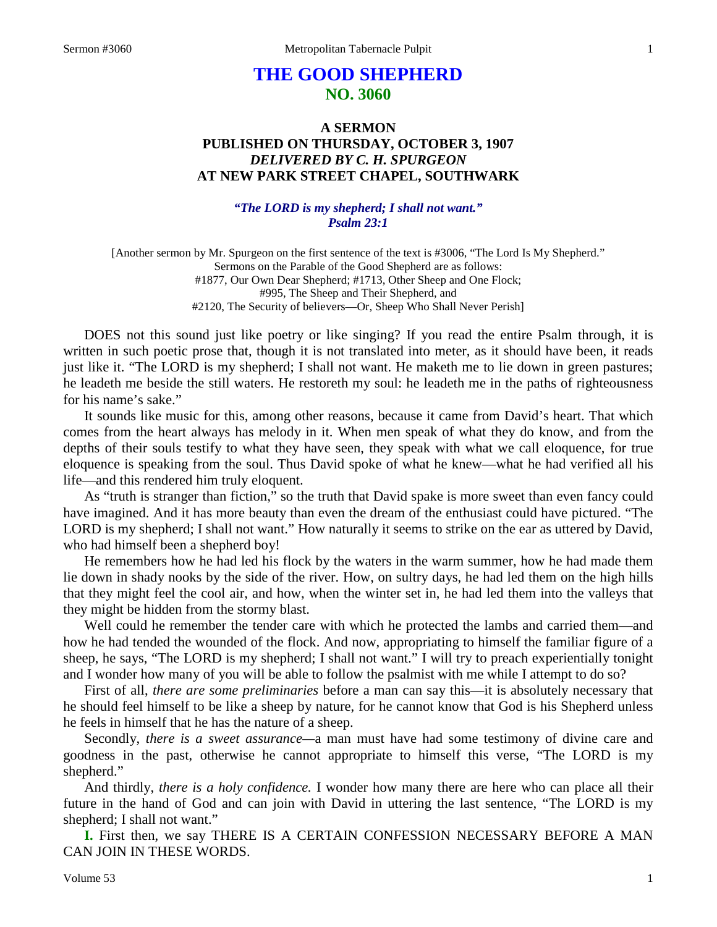# **THE GOOD SHEPHERD NO. 3060**

## **A SERMON PUBLISHED ON THURSDAY, OCTOBER 3, 1907** *DELIVERED BY C. H. SPURGEON* **AT NEW PARK STREET CHAPEL, SOUTHWARK**

### *"The LORD is my shepherd; I shall not want." Psalm 23:1*

[Another sermon by Mr. Spurgeon on the first sentence of the text is #3006, "The Lord Is My Shepherd." Sermons on the Parable of the Good Shepherd are as follows: #1877, Our Own Dear Shepherd; #1713, Other Sheep and One Flock; #995, The Sheep and Their Shepherd, and #2120, The Security of believers—Or, Sheep Who Shall Never Perish]

DOES not this sound just like poetry or like singing? If you read the entire Psalm through, it is written in such poetic prose that, though it is not translated into meter, as it should have been, it reads just like it. "The LORD is my shepherd; I shall not want. He maketh me to lie down in green pastures; he leadeth me beside the still waters. He restoreth my soul: he leadeth me in the paths of righteousness for his name's sake."

It sounds like music for this, among other reasons, because it came from David's heart. That which comes from the heart always has melody in it. When men speak of what they do know, and from the depths of their souls testify to what they have seen, they speak with what we call eloquence, for true eloquence is speaking from the soul. Thus David spoke of what he knew—what he had verified all his life—and this rendered him truly eloquent.

As "truth is stranger than fiction," so the truth that David spake is more sweet than even fancy could have imagined. And it has more beauty than even the dream of the enthusiast could have pictured. "The LORD is my shepherd; I shall not want." How naturally it seems to strike on the ear as uttered by David, who had himself been a shepherd boy!

He remembers how he had led his flock by the waters in the warm summer, how he had made them lie down in shady nooks by the side of the river. How, on sultry days, he had led them on the high hills that they might feel the cool air, and how, when the winter set in, he had led them into the valleys that they might be hidden from the stormy blast.

Well could he remember the tender care with which he protected the lambs and carried them—and how he had tended the wounded of the flock. And now, appropriating to himself the familiar figure of a sheep, he says, "The LORD is my shepherd; I shall not want." I will try to preach experientially tonight and I wonder how many of you will be able to follow the psalmist with me while I attempt to do so?

First of all, *there are some preliminaries* before a man can say this—it is absolutely necessary that he should feel himself to be like a sheep by nature, for he cannot know that God is his Shepherd unless he feels in himself that he has the nature of a sheep.

Secondly, *there is a sweet assurance—*a man must have had some testimony of divine care and goodness in the past, otherwise he cannot appropriate to himself this verse, "The LORD is my shepherd."

And thirdly, *there is a holy confidence.* I wonder how many there are here who can place all their future in the hand of God and can join with David in uttering the last sentence, "The LORD is my shepherd; I shall not want."

**I.** First then, we say THERE IS A CERTAIN CONFESSION NECESSARY BEFORE A MAN CAN JOIN IN THESE WORDS.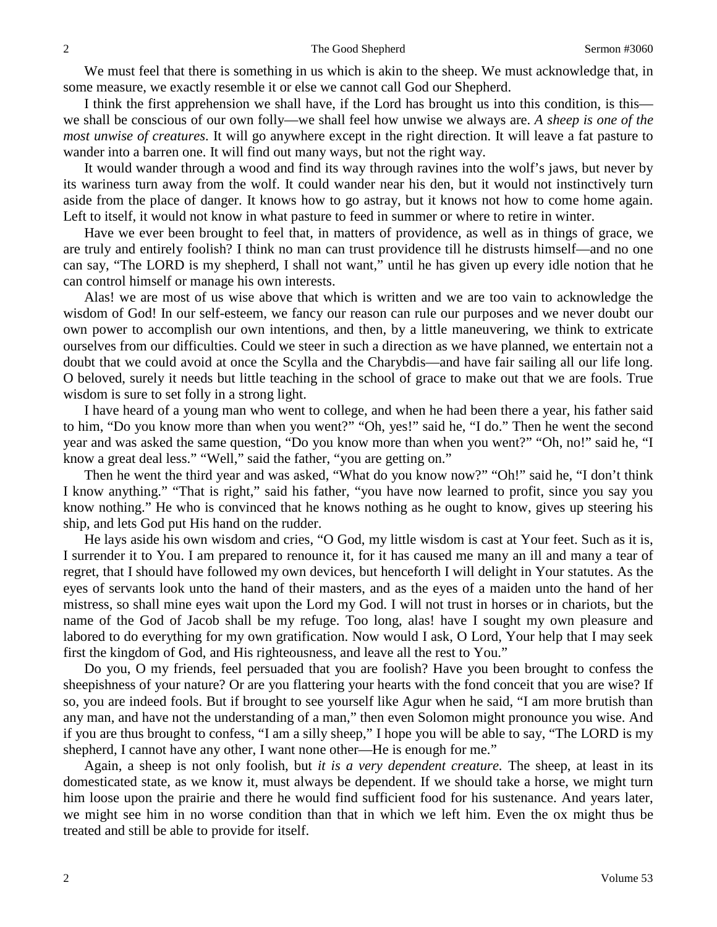We must feel that there is something in us which is akin to the sheep. We must acknowledge that, in some measure, we exactly resemble it or else we cannot call God our Shepherd.

I think the first apprehension we shall have, if the Lord has brought us into this condition, is this we shall be conscious of our own folly—we shall feel how unwise we always are. *A sheep is one of the most unwise of creatures.* It will go anywhere except in the right direction. It will leave a fat pasture to wander into a barren one. It will find out many ways, but not the right way.

It would wander through a wood and find its way through ravines into the wolf's jaws, but never by its wariness turn away from the wolf. It could wander near his den, but it would not instinctively turn aside from the place of danger. It knows how to go astray, but it knows not how to come home again. Left to itself, it would not know in what pasture to feed in summer or where to retire in winter.

Have we ever been brought to feel that, in matters of providence, as well as in things of grace, we are truly and entirely foolish? I think no man can trust providence till he distrusts himself—and no one can say, "The LORD is my shepherd, I shall not want," until he has given up every idle notion that he can control himself or manage his own interests.

Alas! we are most of us wise above that which is written and we are too vain to acknowledge the wisdom of God! In our self-esteem, we fancy our reason can rule our purposes and we never doubt our own power to accomplish our own intentions, and then, by a little maneuvering, we think to extricate ourselves from our difficulties. Could we steer in such a direction as we have planned, we entertain not a doubt that we could avoid at once the Scylla and the Charybdis—and have fair sailing all our life long. O beloved, surely it needs but little teaching in the school of grace to make out that we are fools. True wisdom is sure to set folly in a strong light.

I have heard of a young man who went to college, and when he had been there a year, his father said to him, "Do you know more than when you went?" "Oh, yes!" said he, "I do." Then he went the second year and was asked the same question, "Do you know more than when you went?" "Oh, no!" said he, "I know a great deal less." "Well," said the father, "you are getting on."

Then he went the third year and was asked, "What do you know now?" "Oh!" said he, "I don't think I know anything." "That is right," said his father, "you have now learned to profit, since you say you know nothing." He who is convinced that he knows nothing as he ought to know, gives up steering his ship, and lets God put His hand on the rudder.

He lays aside his own wisdom and cries, "O God, my little wisdom is cast at Your feet. Such as it is, I surrender it to You. I am prepared to renounce it, for it has caused me many an ill and many a tear of regret, that I should have followed my own devices, but henceforth I will delight in Your statutes. As the eyes of servants look unto the hand of their masters, and as the eyes of a maiden unto the hand of her mistress, so shall mine eyes wait upon the Lord my God. I will not trust in horses or in chariots, but the name of the God of Jacob shall be my refuge. Too long, alas! have I sought my own pleasure and labored to do everything for my own gratification. Now would I ask, O Lord, Your help that I may seek first the kingdom of God, and His righteousness, and leave all the rest to You."

Do you, O my friends, feel persuaded that you are foolish? Have you been brought to confess the sheepishness of your nature? Or are you flattering your hearts with the fond conceit that you are wise? If so, you are indeed fools. But if brought to see yourself like Agur when he said, "I am more brutish than any man, and have not the understanding of a man," then even Solomon might pronounce you wise. And if you are thus brought to confess, "I am a silly sheep," I hope you will be able to say, "The LORD is my shepherd, I cannot have any other, I want none other—He is enough for me."

Again, a sheep is not only foolish, but *it is a very dependent creature.* The sheep, at least in its domesticated state, as we know it, must always be dependent. If we should take a horse, we might turn him loose upon the prairie and there he would find sufficient food for his sustenance. And years later, we might see him in no worse condition than that in which we left him. Even the ox might thus be treated and still be able to provide for itself.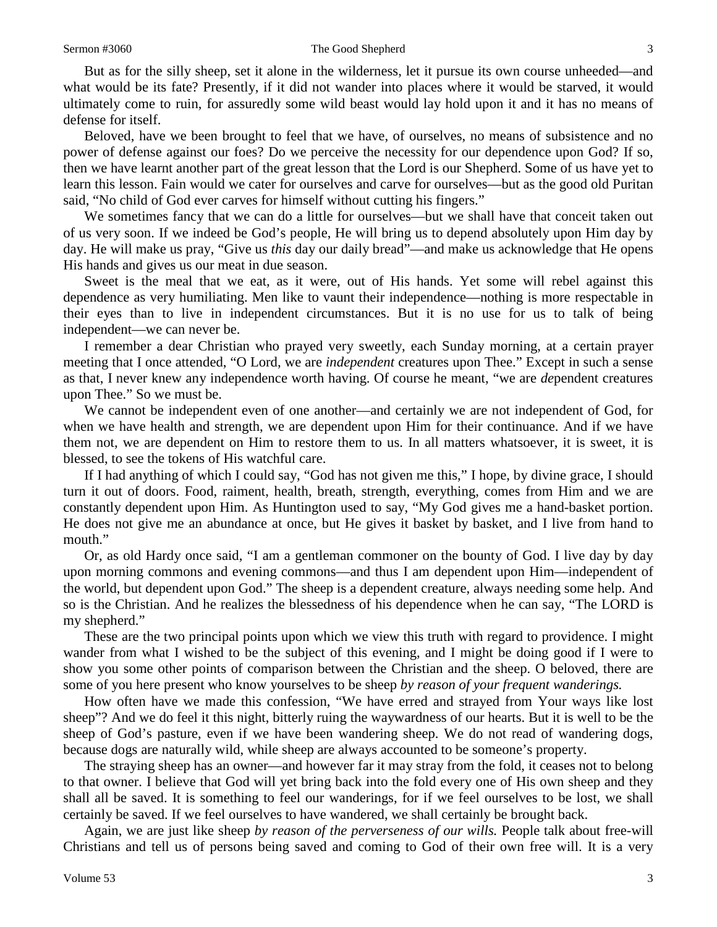But as for the silly sheep, set it alone in the wilderness, let it pursue its own course unheeded—and what would be its fate? Presently, if it did not wander into places where it would be starved, it would ultimately come to ruin, for assuredly some wild beast would lay hold upon it and it has no means of defense for itself.

Beloved, have we been brought to feel that we have, of ourselves, no means of subsistence and no power of defense against our foes? Do we perceive the necessity for our dependence upon God? If so, then we have learnt another part of the great lesson that the Lord is our Shepherd. Some of us have yet to learn this lesson. Fain would we cater for ourselves and carve for ourselves—but as the good old Puritan said, "No child of God ever carves for himself without cutting his fingers."

We sometimes fancy that we can do a little for ourselves—but we shall have that conceit taken out of us very soon. If we indeed be God's people, He will bring us to depend absolutely upon Him day by day. He will make us pray, "Give us *this* day our daily bread"—and make us acknowledge that He opens His hands and gives us our meat in due season.

Sweet is the meal that we eat, as it were, out of His hands. Yet some will rebel against this dependence as very humiliating. Men like to vaunt their independence—nothing is more respectable in their eyes than to live in independent circumstances. But it is no use for us to talk of being independent—we can never be.

I remember a dear Christian who prayed very sweetly, each Sunday morning, at a certain prayer meeting that I once attended, "O Lord, we are *independent* creatures upon Thee." Except in such a sense as that, I never knew any independence worth having. Of course he meant, "we are *de*pendent creatures upon Thee." So we must be.

We cannot be independent even of one another—and certainly we are not independent of God, for when we have health and strength, we are dependent upon Him for their continuance. And if we have them not, we are dependent on Him to restore them to us. In all matters whatsoever, it is sweet, it is blessed, to see the tokens of His watchful care.

If I had anything of which I could say, "God has not given me this," I hope, by divine grace, I should turn it out of doors. Food, raiment, health, breath, strength, everything, comes from Him and we are constantly dependent upon Him. As Huntington used to say, "My God gives me a hand-basket portion. He does not give me an abundance at once, but He gives it basket by basket, and I live from hand to mouth."

Or, as old Hardy once said, "I am a gentleman commoner on the bounty of God. I live day by day upon morning commons and evening commons—and thus I am dependent upon Him—independent of the world, but dependent upon God." The sheep is a dependent creature, always needing some help. And so is the Christian. And he realizes the blessedness of his dependence when he can say, "The LORD is my shepherd."

These are the two principal points upon which we view this truth with regard to providence. I might wander from what I wished to be the subject of this evening, and I might be doing good if I were to show you some other points of comparison between the Christian and the sheep. O beloved, there are some of you here present who know yourselves to be sheep *by reason of your frequent wanderings.* 

How often have we made this confession, "We have erred and strayed from Your ways like lost sheep"? And we do feel it this night, bitterly ruing the waywardness of our hearts. But it is well to be the sheep of God's pasture, even if we have been wandering sheep. We do not read of wandering dogs, because dogs are naturally wild, while sheep are always accounted to be someone's property.

The straying sheep has an owner—and however far it may stray from the fold, it ceases not to belong to that owner. I believe that God will yet bring back into the fold every one of His own sheep and they shall all be saved. It is something to feel our wanderings, for if we feel ourselves to be lost, we shall certainly be saved. If we feel ourselves to have wandered, we shall certainly be brought back.

Again, we are just like sheep *by reason of the perverseness of our wills.* People talk about free-will Christians and tell us of persons being saved and coming to God of their own free will. It is a very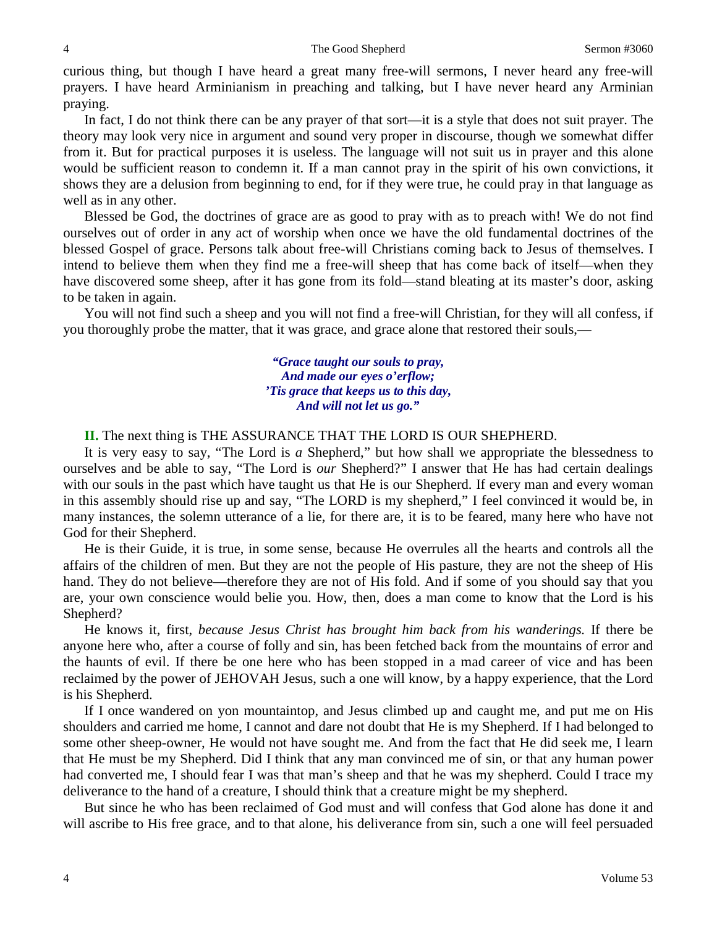curious thing, but though I have heard a great many free-will sermons, I never heard any free-will prayers. I have heard Arminianism in preaching and talking, but I have never heard any Arminian praying.

In fact, I do not think there can be any prayer of that sort—it is a style that does not suit prayer. The theory may look very nice in argument and sound very proper in discourse, though we somewhat differ from it. But for practical purposes it is useless. The language will not suit us in prayer and this alone would be sufficient reason to condemn it. If a man cannot pray in the spirit of his own convictions, it shows they are a delusion from beginning to end, for if they were true, he could pray in that language as well as in any other.

Blessed be God, the doctrines of grace are as good to pray with as to preach with! We do not find ourselves out of order in any act of worship when once we have the old fundamental doctrines of the blessed Gospel of grace. Persons talk about free-will Christians coming back to Jesus of themselves. I intend to believe them when they find me a free-will sheep that has come back of itself—when they have discovered some sheep, after it has gone from its fold—stand bleating at its master's door, asking to be taken in again.

You will not find such a sheep and you will not find a free-will Christian, for they will all confess, if you thoroughly probe the matter, that it was grace, and grace alone that restored their souls,—

> *"Grace taught our souls to pray, And made our eyes o'erflow; 'Tis grace that keeps us to this day, And will not let us go."*

#### **II.** The next thing is THE ASSURANCE THAT THE LORD IS OUR SHEPHERD.

It is very easy to say, "The Lord is *a* Shepherd," but how shall we appropriate the blessedness to ourselves and be able to say, "The Lord is *our* Shepherd?" I answer that He has had certain dealings with our souls in the past which have taught us that He is our Shepherd. If every man and every woman in this assembly should rise up and say, "The LORD is my shepherd," I feel convinced it would be, in many instances, the solemn utterance of a lie, for there are, it is to be feared, many here who have not God for their Shepherd.

He is their Guide, it is true, in some sense, because He overrules all the hearts and controls all the affairs of the children of men. But they are not the people of His pasture, they are not the sheep of His hand. They do not believe—therefore they are not of His fold. And if some of you should say that you are, your own conscience would belie you. How, then, does a man come to know that the Lord is his Shepherd?

He knows it, first, *because Jesus Christ has brought him back from his wanderings.* If there be anyone here who, after a course of folly and sin, has been fetched back from the mountains of error and the haunts of evil. If there be one here who has been stopped in a mad career of vice and has been reclaimed by the power of JEHOVAH Jesus, such a one will know, by a happy experience, that the Lord is his Shepherd.

If I once wandered on yon mountaintop, and Jesus climbed up and caught me, and put me on His shoulders and carried me home, I cannot and dare not doubt that He is my Shepherd. If I had belonged to some other sheep-owner, He would not have sought me. And from the fact that He did seek me, I learn that He must be my Shepherd. Did I think that any man convinced me of sin, or that any human power had converted me, I should fear I was that man's sheep and that he was my shepherd. Could I trace my deliverance to the hand of a creature, I should think that a creature might be my shepherd.

But since he who has been reclaimed of God must and will confess that God alone has done it and will ascribe to His free grace, and to that alone, his deliverance from sin, such a one will feel persuaded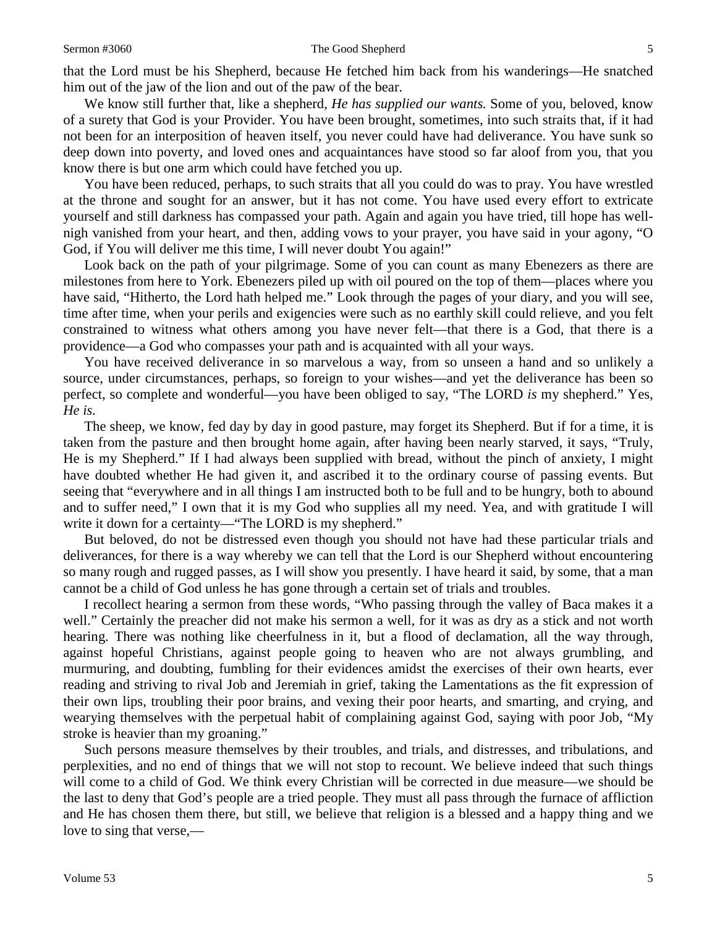#### Sermon #3060 The Good Shepherd 5

that the Lord must be his Shepherd, because He fetched him back from his wanderings—He snatched him out of the jaw of the lion and out of the paw of the bear.

We know still further that, like a shepherd, *He has supplied our wants.* Some of you, beloved, know of a surety that God is your Provider. You have been brought, sometimes, into such straits that, if it had not been for an interposition of heaven itself, you never could have had deliverance. You have sunk so deep down into poverty, and loved ones and acquaintances have stood so far aloof from you, that you know there is but one arm which could have fetched you up.

You have been reduced, perhaps, to such straits that all you could do was to pray. You have wrestled at the throne and sought for an answer, but it has not come. You have used every effort to extricate yourself and still darkness has compassed your path. Again and again you have tried, till hope has wellnigh vanished from your heart, and then, adding vows to your prayer, you have said in your agony, "O God, if You will deliver me this time, I will never doubt You again!"

Look back on the path of your pilgrimage. Some of you can count as many Ebenezers as there are milestones from here to York. Ebenezers piled up with oil poured on the top of them—places where you have said, "Hitherto, the Lord hath helped me." Look through the pages of your diary, and you will see, time after time, when your perils and exigencies were such as no earthly skill could relieve, and you felt constrained to witness what others among you have never felt—that there is a God, that there is a providence—a God who compasses your path and is acquainted with all your ways.

You have received deliverance in so marvelous a way, from so unseen a hand and so unlikely a source, under circumstances, perhaps, so foreign to your wishes—and yet the deliverance has been so perfect, so complete and wonderful—you have been obliged to say, "The LORD *is* my shepherd." Yes, *He is.*

The sheep, we know, fed day by day in good pasture, may forget its Shepherd. But if for a time, it is taken from the pasture and then brought home again, after having been nearly starved, it says, "Truly, He is my Shepherd." If I had always been supplied with bread, without the pinch of anxiety, I might have doubted whether He had given it, and ascribed it to the ordinary course of passing events. But seeing that "everywhere and in all things I am instructed both to be full and to be hungry, both to abound and to suffer need," I own that it is my God who supplies all my need. Yea, and with gratitude I will write it down for a certainty—"The LORD is my shepherd."

But beloved, do not be distressed even though you should not have had these particular trials and deliverances, for there is a way whereby we can tell that the Lord is our Shepherd without encountering so many rough and rugged passes, as I will show you presently. I have heard it said, by some, that a man cannot be a child of God unless he has gone through a certain set of trials and troubles.

I recollect hearing a sermon from these words, "Who passing through the valley of Baca makes it a well." Certainly the preacher did not make his sermon a well, for it was as dry as a stick and not worth hearing. There was nothing like cheerfulness in it, but a flood of declamation, all the way through, against hopeful Christians, against people going to heaven who are not always grumbling, and murmuring, and doubting, fumbling for their evidences amidst the exercises of their own hearts, ever reading and striving to rival Job and Jeremiah in grief, taking the Lamentations as the fit expression of their own lips, troubling their poor brains, and vexing their poor hearts, and smarting, and crying, and wearying themselves with the perpetual habit of complaining against God, saying with poor Job, "My stroke is heavier than my groaning."

Such persons measure themselves by their troubles, and trials, and distresses, and tribulations, and perplexities, and no end of things that we will not stop to recount. We believe indeed that such things will come to a child of God. We think every Christian will be corrected in due measure—we should be the last to deny that God's people are a tried people. They must all pass through the furnace of affliction and He has chosen them there, but still, we believe that religion is a blessed and a happy thing and we love to sing that verse,—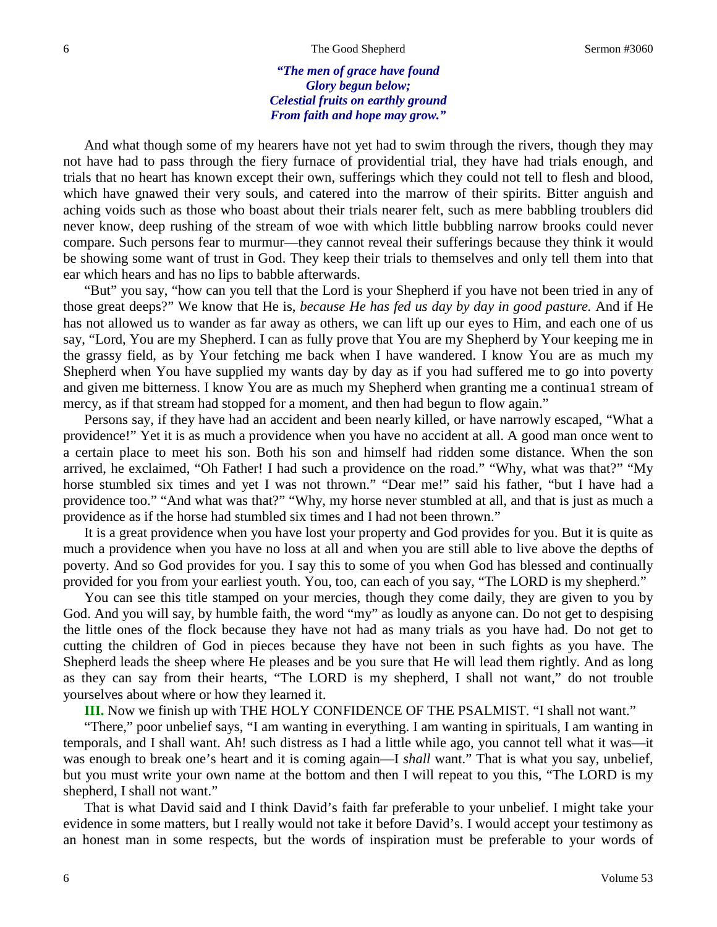*"The men of grace have found Glory begun below; Celestial fruits on earthly ground From faith and hope may grow."*

And what though some of my hearers have not yet had to swim through the rivers, though they may not have had to pass through the fiery furnace of providential trial, they have had trials enough, and trials that no heart has known except their own, sufferings which they could not tell to flesh and blood, which have gnawed their very souls, and catered into the marrow of their spirits. Bitter anguish and aching voids such as those who boast about their trials nearer felt, such as mere babbling troublers did never know, deep rushing of the stream of woe with which little bubbling narrow brooks could never compare. Such persons fear to murmur—they cannot reveal their sufferings because they think it would be showing some want of trust in God. They keep their trials to themselves and only tell them into that ear which hears and has no lips to babble afterwards.

"But" you say, "how can you tell that the Lord is your Shepherd if you have not been tried in any of those great deeps?" We know that He is, *because He has fed us day by day in good pasture.* And if He has not allowed us to wander as far away as others, we can lift up our eyes to Him, and each one of us say, "Lord, You are my Shepherd. I can as fully prove that You are my Shepherd by Your keeping me in the grassy field, as by Your fetching me back when I have wandered. I know You are as much my Shepherd when You have supplied my wants day by day as if you had suffered me to go into poverty and given me bitterness. I know You are as much my Shepherd when granting me a continua1 stream of mercy, as if that stream had stopped for a moment, and then had begun to flow again."

Persons say, if they have had an accident and been nearly killed, or have narrowly escaped, "What a providence!" Yet it is as much a providence when you have no accident at all. A good man once went to a certain place to meet his son. Both his son and himself had ridden some distance. When the son arrived, he exclaimed, "Oh Father! I had such a providence on the road." "Why, what was that?" "My horse stumbled six times and yet I was not thrown." "Dear me!" said his father, "but I have had a providence too." "And what was that?" "Why, my horse never stumbled at all, and that is just as much a providence as if the horse had stumbled six times and I had not been thrown."

It is a great providence when you have lost your property and God provides for you. But it is quite as much a providence when you have no loss at all and when you are still able to live above the depths of poverty. And so God provides for you. I say this to some of you when God has blessed and continually provided for you from your earliest youth. You, too, can each of you say, "The LORD is my shepherd."

You can see this title stamped on your mercies, though they come daily, they are given to you by God. And you will say, by humble faith, the word "my" as loudly as anyone can. Do not get to despising the little ones of the flock because they have not had as many trials as you have had. Do not get to cutting the children of God in pieces because they have not been in such fights as you have. The Shepherd leads the sheep where He pleases and be you sure that He will lead them rightly. And as long as they can say from their hearts, "The LORD is my shepherd, I shall not want," do not trouble yourselves about where or how they learned it.

**III.** Now we finish up with THE HOLY CONFIDENCE OF THE PSALMIST. "I shall not want."

"There," poor unbelief says, "I am wanting in everything. I am wanting in spirituals, I am wanting in temporals, and I shall want. Ah! such distress as I had a little while ago, you cannot tell what it was—it was enough to break one's heart and it is coming again—I *shall* want." That is what you say, unbelief, but you must write your own name at the bottom and then I will repeat to you this, "The LORD is my shepherd, I shall not want."

That is what David said and I think David's faith far preferable to your unbelief. I might take your evidence in some matters, but I really would not take it before David's. I would accept your testimony as an honest man in some respects, but the words of inspiration must be preferable to your words of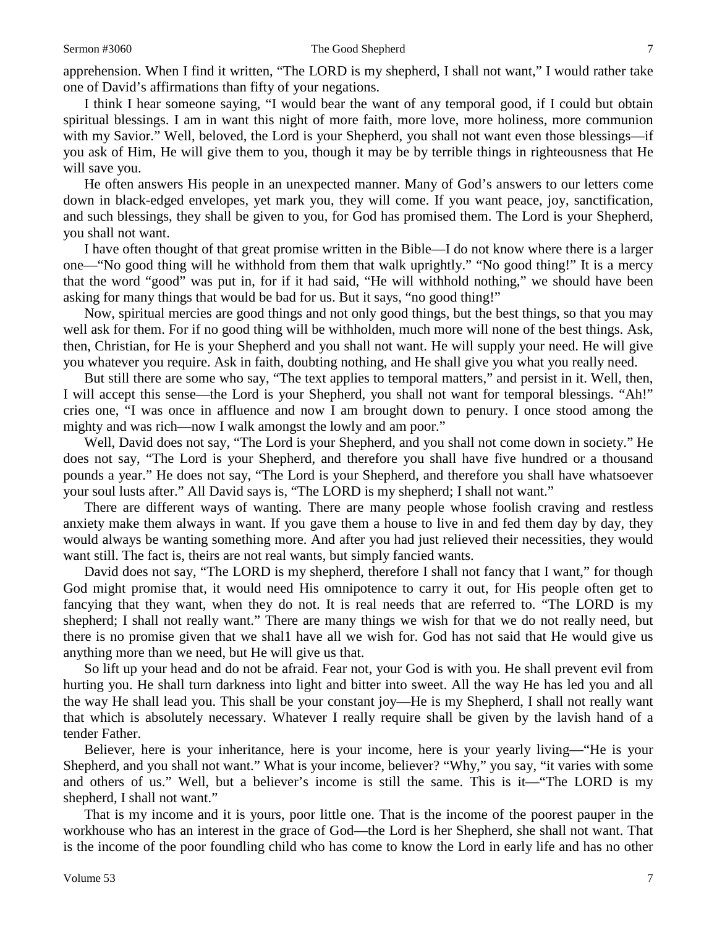apprehension. When I find it written, "The LORD is my shepherd, I shall not want," I would rather take one of David's affirmations than fifty of your negations.

I think I hear someone saying, "I would bear the want of any temporal good, if I could but obtain spiritual blessings. I am in want this night of more faith, more love, more holiness, more communion with my Savior." Well, beloved, the Lord is your Shepherd, you shall not want even those blessings—if you ask of Him, He will give them to you, though it may be by terrible things in righteousness that He will save you.

He often answers His people in an unexpected manner. Many of God's answers to our letters come down in black-edged envelopes, yet mark you, they will come. If you want peace, joy, sanctification, and such blessings, they shall be given to you, for God has promised them. The Lord is your Shepherd, you shall not want.

I have often thought of that great promise written in the Bible—I do not know where there is a larger one—"No good thing will he withhold from them that walk uprightly." "No good thing!" It is a mercy that the word "good" was put in, for if it had said, "He will withhold nothing," we should have been asking for many things that would be bad for us. But it says, "no good thing!"

Now, spiritual mercies are good things and not only good things, but the best things, so that you may well ask for them. For if no good thing will be withholden, much more will none of the best things. Ask, then, Christian, for He is your Shepherd and you shall not want. He will supply your need. He will give you whatever you require. Ask in faith, doubting nothing, and He shall give you what you really need.

But still there are some who say, "The text applies to temporal matters," and persist in it. Well, then, I will accept this sense—the Lord is your Shepherd, you shall not want for temporal blessings. "Ah!" cries one, "I was once in affluence and now I am brought down to penury. I once stood among the mighty and was rich—now I walk amongst the lowly and am poor."

Well, David does not say, "The Lord is your Shepherd, and you shall not come down in society." He does not say, "The Lord is your Shepherd, and therefore you shall have five hundred or a thousand pounds a year." He does not say, "The Lord is your Shepherd, and therefore you shall have whatsoever your soul lusts after." All David says is, "The LORD is my shepherd; I shall not want."

There are different ways of wanting. There are many people whose foolish craving and restless anxiety make them always in want. If you gave them a house to live in and fed them day by day, they would always be wanting something more. And after you had just relieved their necessities, they would want still. The fact is, theirs are not real wants, but simply fancied wants.

David does not say, "The LORD is my shepherd, therefore I shall not fancy that I want," for though God might promise that, it would need His omnipotence to carry it out, for His people often get to fancying that they want, when they do not. It is real needs that are referred to. "The LORD is my shepherd; I shall not really want." There are many things we wish for that we do not really need, but there is no promise given that we shal1 have all we wish for. God has not said that He would give us anything more than we need, but He will give us that.

So lift up your head and do not be afraid. Fear not, your God is with you. He shall prevent evil from hurting you. He shall turn darkness into light and bitter into sweet. All the way He has led you and all the way He shall lead you. This shall be your constant joy—He is my Shepherd, I shall not really want that which is absolutely necessary. Whatever I really require shall be given by the lavish hand of a tender Father.

Believer, here is your inheritance, here is your income, here is your yearly living—"He is your Shepherd, and you shall not want." What is your income, believer? "Why," you say, "it varies with some and others of us." Well, but a believer's income is still the same. This is it—"The LORD is my shepherd, I shall not want."

That is my income and it is yours, poor little one. That is the income of the poorest pauper in the workhouse who has an interest in the grace of God—the Lord is her Shepherd, she shall not want. That is the income of the poor foundling child who has come to know the Lord in early life and has no other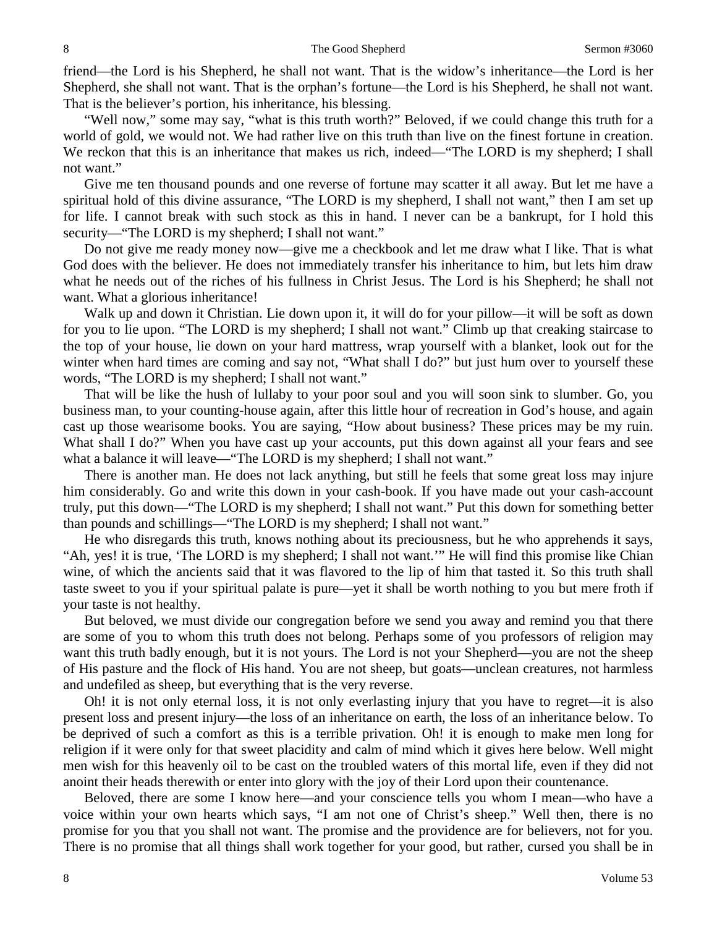friend—the Lord is his Shepherd, he shall not want. That is the widow's inheritance—the Lord is her Shepherd, she shall not want. That is the orphan's fortune—the Lord is his Shepherd, he shall not want. That is the believer's portion, his inheritance, his blessing.

"Well now," some may say, "what is this truth worth?" Beloved, if we could change this truth for a world of gold, we would not. We had rather live on this truth than live on the finest fortune in creation. We reckon that this is an inheritance that makes us rich, indeed—"The LORD is my shepherd; I shall not want."

Give me ten thousand pounds and one reverse of fortune may scatter it all away. But let me have a spiritual hold of this divine assurance, "The LORD is my shepherd, I shall not want," then I am set up for life. I cannot break with such stock as this in hand. I never can be a bankrupt, for I hold this security—"The LORD is my shepherd; I shall not want."

Do not give me ready money now—give me a checkbook and let me draw what I like. That is what God does with the believer. He does not immediately transfer his inheritance to him, but lets him draw what he needs out of the riches of his fullness in Christ Jesus. The Lord is his Shepherd; he shall not want. What a glorious inheritance!

Walk up and down it Christian. Lie down upon it, it will do for your pillow—it will be soft as down for you to lie upon. "The LORD is my shepherd; I shall not want." Climb up that creaking staircase to the top of your house, lie down on your hard mattress, wrap yourself with a blanket, look out for the winter when hard times are coming and say not, "What shall I do?" but just hum over to yourself these words, "The LORD is my shepherd; I shall not want."

That will be like the hush of lullaby to your poor soul and you will soon sink to slumber. Go, you business man, to your counting-house again, after this little hour of recreation in God's house, and again cast up those wearisome books. You are saying, "How about business? These prices may be my ruin. What shall I do?" When you have cast up your accounts, put this down against all your fears and see what a balance it will leave—"The LORD is my shepherd; I shall not want."

There is another man. He does not lack anything, but still he feels that some great loss may injure him considerably. Go and write this down in your cash-book. If you have made out your cash-account truly, put this down—"The LORD is my shepherd; I shall not want." Put this down for something better than pounds and schillings—"The LORD is my shepherd; I shall not want."

He who disregards this truth, knows nothing about its preciousness, but he who apprehends it says, "Ah, yes! it is true, 'The LORD is my shepherd; I shall not want.'" He will find this promise like Chian wine, of which the ancients said that it was flavored to the lip of him that tasted it. So this truth shall taste sweet to you if your spiritual palate is pure—yet it shall be worth nothing to you but mere froth if your taste is not healthy.

But beloved, we must divide our congregation before we send you away and remind you that there are some of you to whom this truth does not belong. Perhaps some of you professors of religion may want this truth badly enough, but it is not yours. The Lord is not your Shepherd—you are not the sheep of His pasture and the flock of His hand. You are not sheep, but goats—unclean creatures, not harmless and undefiled as sheep, but everything that is the very reverse.

Oh! it is not only eternal loss, it is not only everlasting injury that you have to regret—it is also present loss and present injury—the loss of an inheritance on earth, the loss of an inheritance below. To be deprived of such a comfort as this is a terrible privation. Oh! it is enough to make men long for religion if it were only for that sweet placidity and calm of mind which it gives here below. Well might men wish for this heavenly oil to be cast on the troubled waters of this mortal life, even if they did not anoint their heads therewith or enter into glory with the joy of their Lord upon their countenance.

Beloved, there are some I know here—and your conscience tells you whom I mean—who have a voice within your own hearts which says, "I am not one of Christ's sheep." Well then, there is no promise for you that you shall not want. The promise and the providence are for believers, not for you. There is no promise that all things shall work together for your good, but rather, cursed you shall be in